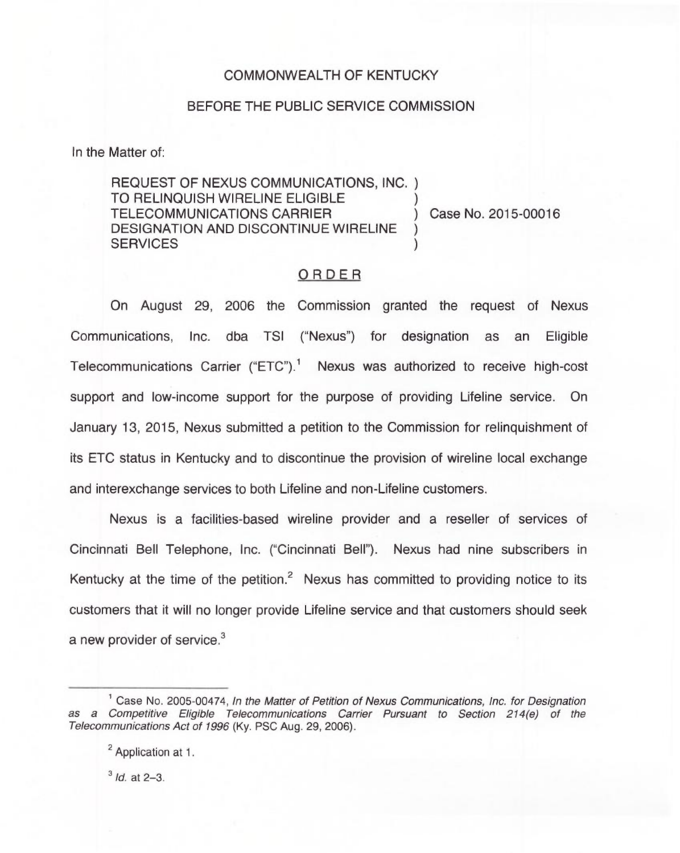## COMMONWEALTH OF KENTUCKY

## BEFORE THE PUBLIC SERVICE COMMISSION

In the Matter of:

REQUEST OF NEXUS COMMUNICATIONS, INC. ) TO RELINQUISH WIRELINE ELIGIBLE  $\qquad$ )<br>TELECOMMUNICATIONS CARRIER  $\qquad$ ) Case No. 2015-00016 TELECOMMUNICATIONS CARRIER DESIGNATION AND DISCONTINUE WIRELINE **SERVICES** 

## ORDER

On August 29, 2006 the Commission granted the request of Nexus Communications, Inc. dba TSI ("Nexus") for designation as an Eligible Telecommunications Carrier ("ETC").<sup>1</sup> Nexus was authorized to receive high-cost support and low-income support for the purpose of providing Lifeline service. On January 13, 2015, Nexus submitted a petition to the Commission for relinquishment of its ETC status in Kentucky and to discontinue the provision of wireline local exchange and interexchange services to both Lifeline and non-Lifeline customers.

Nexus is a facilities-based wireline provider and a reseller of services of Cincinnati Bell Telephone, Inc. ("Cincinnati Bell"). Nexus had nine subscribers in Kentucky at the time of the petition. $2$  Nexus has committed to providing notice to its customers that it will no longer provide Lifeline service and that customers should seek a new provider of service.<sup>3</sup>

<sup>2</sup> Application at 1.

 $3$  *Id.* at 2-3.

<sup>&</sup>lt;sup>1</sup> Case No. 2005-00474, In the Matter of Petition of Nexus Communications, Inc. for Designation as a Competitive Eligible Telecommunications Carrier Pursuant to Section 214(e) of the Telecommunications Act of 1996 (Ky. PSC Aug. 29, 2006).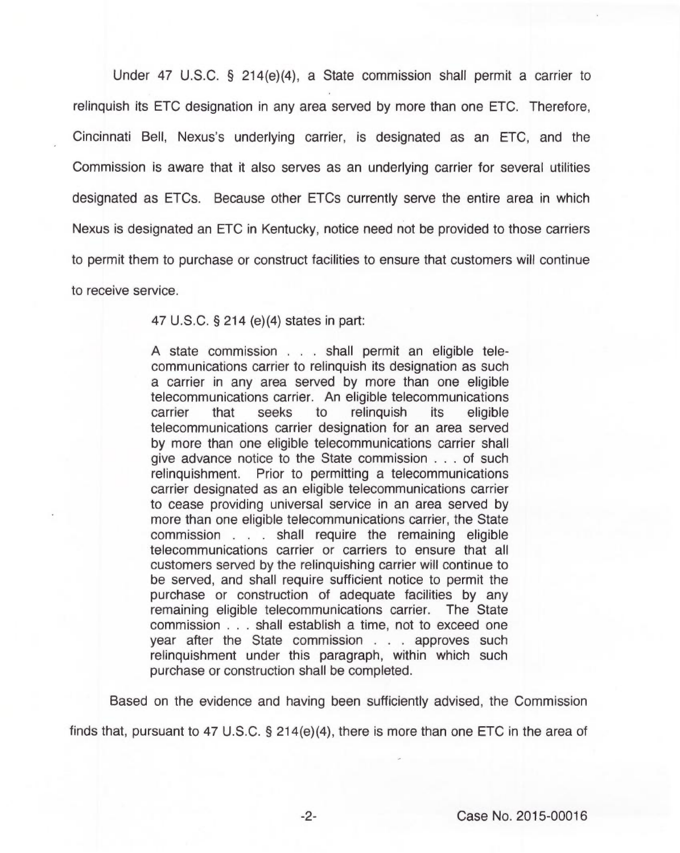Under 47 U.S.C. 5 214(e)(4), a State commission shall permit a carrier to relinquish its ETC designation in any area served by more than one ETC. Therefore, Cincinnati Bell, Nexus's underlying carrier, is designated as an ETC, and the Commission is aware that it also serves as an underlying carrier for several utilities designated as ETCs. Because other ETCs currently serve the entire area in which Nexus is designated an ETC in Kentucky, notice need not be provided to those carriers to permit them to purchase or construct facilities to ensure that customers will continue to receive service.

47 U.S.C. 5 214 (e)(4) states in part:

<sup>A</sup> state commission... shall permit an eligible telecommunications carrier to relinquish its designation as such a carrier in any area served by more than one eligible telecommunications carrier. An eligible telecommunications carrier that seeks to relinquish its eligible telecommunications carrier designation for an area served by more than one eligible telecommunications carrier shall give advance notice to the State commission... of such relinquishment. Prior to permitting a telecommunications carrier designated as an eligible telecommunications carrier to cease providing universal service in an area served by more than one eligible telecommunications carrier, the State commission... shall require the remaining eligible telecommunications carrier or carriers to ensure that all customers served by the relinquishing carrier will continue to be served, and shall require sufficient notice to permit the purchase or construction of adequate facilities by any remaining eligible telecommunications carrier. The State commission... shall establish a time, not to exceed one year after the State commission... approves such relinquishment under this paragraph, within which such purchase or construction shall be completed.

Based on the evidence and having been sufficiently advised, the Commission

finds that, pursuant to 47 U.S.C.  $\S$  214(e)(4), there is more than one ETC in the area of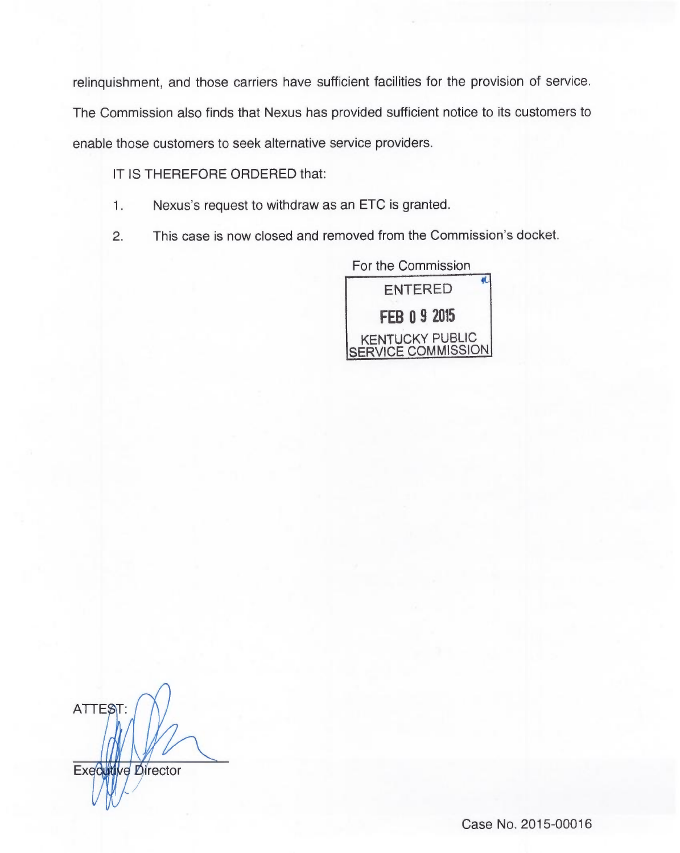relinquishment, and those carriers have sufficient facilities for the provision of service.

The Commission also finds that Nexus has provided sufficient notice to its customers to

enable those customers to seek alternative service providers.

IT IS THEREFORE ORDERED that:

- $1.$ Nexus's request to withdraw as an ETC is granted.
- 2. This case is now closed and removed from the Commission's docket.

For the Commission ENTERED **FEB 0 9 2015** KENTUCKY PUBLIC <u>SERVICE COMMISSION</u>

ATTEST: Executive Director